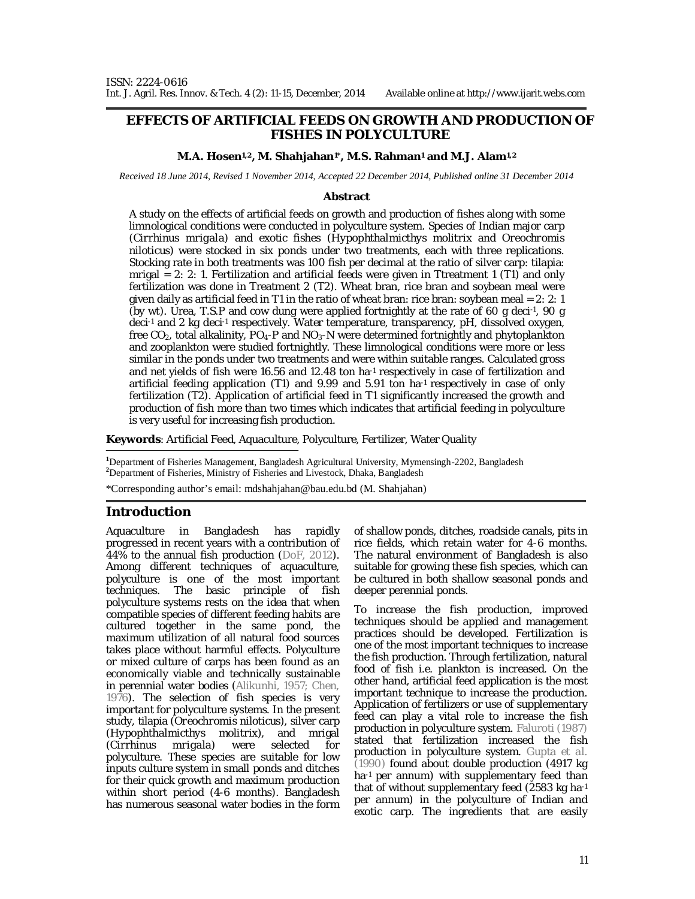#### **EFFECTS OF ARTIFICIAL FEEDS ON GROWTH AND PRODUCTION OF FISHES IN POLYCULTURE**

#### **M.A. Hosen1,2, M. Shahjahan1\*, M.S. Rahman<sup>1</sup> and M.J. Alam1,2**

*Received 18 June 2014, Revised 1 November 2014, Accepted 22 December 2014, Published online 31 December 2014* 

#### **Abstract**

A study on the effects of artificial feeds on growth and production of fishes along with some limnological conditions were conducted in polyculture system. Species of Indian major carp (*Cirrhinus mrigala*) and exotic fishes (*Hypophthalmicthys molitrix* and *Oreochromis niloticus*) were stocked in six ponds under two treatments, each with three replications. Stocking rate in both treatments was 100 fish per decimal at the ratio of silver carp: tilapia: mrigal  $= 2: 2: 1$ . Fertilization and artificial feeds were given in Ttreatment 1 (T1) and only fertilization was done in Treatment 2 (T2). Wheat bran, rice bran and soybean meal were given daily as artificial feed in T1 in the ratio of wheat bran: rice bran: soybean meal = 2: 2: 1 (by wt). Urea, T.S.P and cow dung were applied fortnightly at the rate of 60 g deci-1 , 90 g deci-1 and 2 kg deci-1 respectively. Water temperature, transparency, pH, dissolved oxygen, free  $CO<sub>2</sub>$ , total alkalinity,  $PO<sub>4</sub>-P$  and  $NO<sub>3</sub>-N$  were determined fortnightly and phytoplankton and zooplankton were studied fortnightly. These limnological conditions were more or less similar in the ponds under two treatments and were within suitable ranges. Calculated gross and net yields of fish were 16.56 and 12.48 ton ha<sup>-1</sup> respectively in case of fertilization and artificial feeding application (T1) and 9.99 and 5.91 ton ha-1 respectively in case of only fertilization (T2). Application of artificial feed in T1 significantly increased the growth and production of fish more than two times which indicates that artificial feeding in polyculture is very useful for increasing fish production.

**Keywords**: Artificial Feed, Aquaculture, Polyculture, Fertilizer, Water Quality

**<sup>1</sup>**Department of Fisheries Management, Bangladesh Agricultural University, Mymensingh-2202, Bangladesh **<sup>2</sup>**Department of Fisheries, Ministry of Fisheries and Livestock, Dhaka, Bangladesh

\*Corresponding author's email: mdshahjahan@bau.edu.bd (M. Shahjahan)

## **Introduction**

Aquaculture in Bangladesh has rapidly progressed in recent years with a contribution of 44% to the annual fish production (DoF, 2012). Among different techniques of aquaculture, polyculture is one of the most important techniques. The basic principle of fish polyculture systems rests on the idea that when compatible species of different feeding habits are cultured together in the same pond, the maximum utilization of all natural food sources takes place without harmful effects. Polyculture or mixed culture of carps has been found as an economically viable and technically sustainable in perennial water bodies (Alikunhi, 1957; Chen, 1976). The selection of fish species is very important for polyculture systems. In the present study, tilapia (*Oreochromis niloticus*), silver carp (*Hypophthalmicthys molitrix*), and mrigal (*Cirrhinus mrigala*) were selected for polyculture. These species are suitable for low inputs culture system in small ponds and ditches for their quick growth and maximum production within short period (4-6 months). Bangladesh has numerous seasonal water bodies in the form

of shallow ponds, ditches, roadside canals, pits in rice fields, which retain water for 4-6 months. The natural environment of Bangladesh is also suitable for growing these fish species, which can be cultured in both shallow seasonal ponds and deeper perennial ponds.

To increase the fish production, improved techniques should be applied and management practices should be developed. Fertilization is one of the most important techniques to increase the fish production. Through fertilization, natural food of fish i.e. plankton is increased. On the other hand, artificial feed application is the most important technique to increase the production. Application of fertilizers or use of supplementary feed can play a vital role to increase the fish production in polyculture system. Faluroti (1987) stated that fertilization increased the fish production in polyculture system. Gupta *et al.* (1990) found about double production (4917 kg ha<sup>-1</sup> per annum) with supplementary feed than that of without supplementary feed (2583 kg ha-1 per annum) in the polyculture of Indian and exotic carp. The ingredients that are easily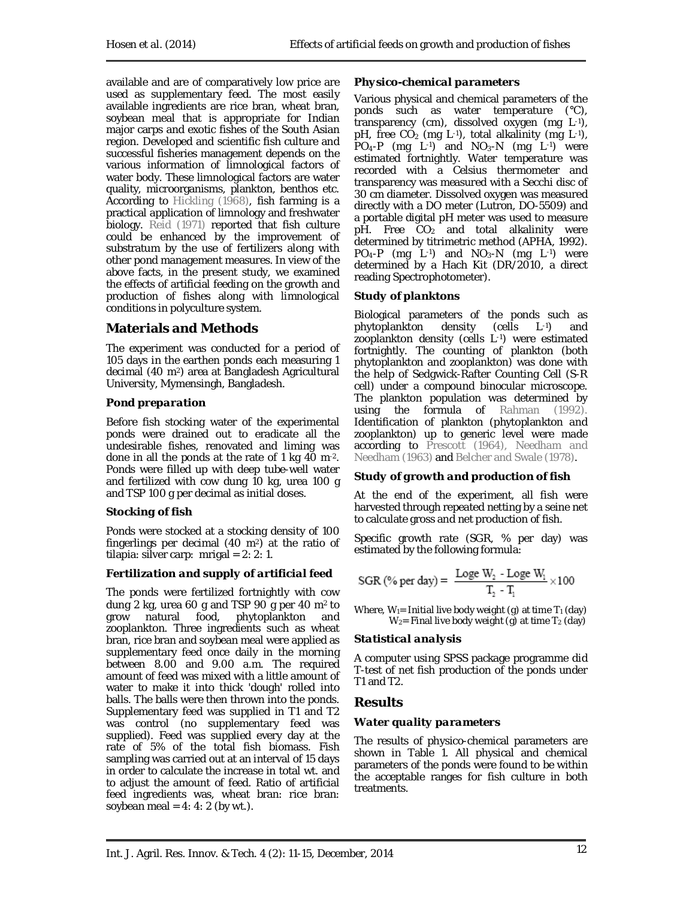available and are of comparatively low price are used as supplementary feed. The most easily available ingredients are rice bran, wheat bran, soybean meal that is appropriate for Indian major carps and exotic fishes of the South Asian region. Developed and scientific fish culture and successful fisheries management depends on the various information of limnological factors of water body. These limnological factors are water quality, microorganisms, plankton, benthos etc. According to Hickling (1968), fish farming is a practical application of limnology and freshwater biology. Reid (1971) reported that fish culture could be enhanced by the improvement of substratum by the use of fertilizers along with other pond management measures. In view of the above facts, in the present study, we examined the effects of artificial feeding on the growth and production of fishes along with limnological conditions in polyculture system.

# **Materials and Methods**

The experiment was conducted for a period of 105 days in the earthen ponds each measuring 1 decimal (40 m2) area at Bangladesh Agricultural University, Mymensingh, Bangladesh.

## *Pond preparation*

Before fish stocking water of the experimental ponds were drained out to eradicate all the undesirable fishes, renovated and liming was done in all the ponds at the rate of 1 kg 40 m-2. Ponds were filled up with deep tube-well water and fertilized with cow dung 10 kg, urea 100 g and TSP 100 g per decimal as initial doses.

## *Stocking of fish*

Ponds were stocked at a stocking density of 100 fingerlings per decimal (40 m2) at the ratio of tilapia: silver carp: mrigal =  $2: 2: 1$ .

## *Fertilization and supply of artificial feed*

The ponds were fertilized fortnightly with cow dung 2 kg, urea 60 g and TSP 90 g per 40 m2 to grow natural food, phytoplankton and zooplankton. Three ingredients such as wheat bran, rice bran and soybean meal were applied as supplementary feed once daily in the morning between 8.00 and 9.00 a.m. The required amount of feed was mixed with a little amount of water to make it into thick 'dough' rolled into balls. The balls were then thrown into the ponds. Supplementary feed was supplied in T1 and T2 was control (no supplementary feed was supplied). Feed was supplied every day at the rate of 5% of the total fish biomass. Fish sampling was carried out at an interval of 15 days in order to calculate the increase in total wt. and to adjust the amount of feed. Ratio of artificial feed ingredients was, wheat bran: rice bran: soybean meal =  $4: 4: 2$  (by wt.).

# *Physico-chemical parameters*

Various physical and chemical parameters of the ponds such as water temperature (°C), transparency (cm), dissolved oxygen (mg L-1), pH, free  $CO<sub>2</sub>$  (mg L<sup>-1</sup>), total alkalinity (mg L<sup>-1</sup>),  $PO_4$ -P (mg L<sup>-1</sup>) and  $NO_3$ -N (mg L<sup>-1</sup>) were estimated fortnightly. Water temperature was recorded with a Celsius thermometer and transparency was measured with a Secchi disc of 30 cm diameter. Dissolved oxygen was measured directly with a DO meter (Lutron, DO-5509) and a portable digital pH meter was used to measure  $pH.$  Free  $CO<sub>2</sub>$  and total alkalinity were determined by titrimetric method (APHA, 1992).  $PO_4-P$  (mg L<sup>-1</sup>) and  $NO_3-N$  (mg L<sup>-1</sup>) were determined by a Hach Kit (DR/2010, a direct reading Spectrophotometer).

## *Study of planktons*

Biological parameters of the ponds such as<br>phytoplankton density (cells L-1) and phytoplankton density (cells L-1) and zooplankton density (cells L-1) were estimated fortnightly. The counting of plankton (both phytoplankton and zooplankton) was done with the help of Sedgwick-Rafter Counting Cell (S-R cell) under a compound binocular microscope. The plankton population was determined by using the formula of Rahman (1992). Identification of plankton (phytoplankton and zooplankton) up to generic level were made **according to** Prescott (1964), Needham and Needham (1963) and Belcher and Swale (1978).

## *Study of growth and production of fish*

At the end of the experiment, all fish were harvested through repeated netting by a seine net to calculate gross and net production of fish.

Specific growth rate (SGR, % per day) was estimated by the following formula:

$$
SGR\ (\% \ per\ day) = \ \frac{Loge\ W_2 - Loge\ W_1}{T_2 - T_1} \times 100
$$

Where,  $W_1$ = Initial live body weight (g) at time  $T_1$  (day)  $W_2$ = Final live body weight (g) at time T<sub>2</sub> (day)

## *Statistical analysis*

A computer using SPSS package programme did T-test of net fish production of the ponds under T1 and T2.

# **Results**

## *Water quality parameters*

The results of physico-chemical parameters are shown in Table 1. All physical and chemical parameters of the ponds were found to be within the acceptable ranges for fish culture in both treatments.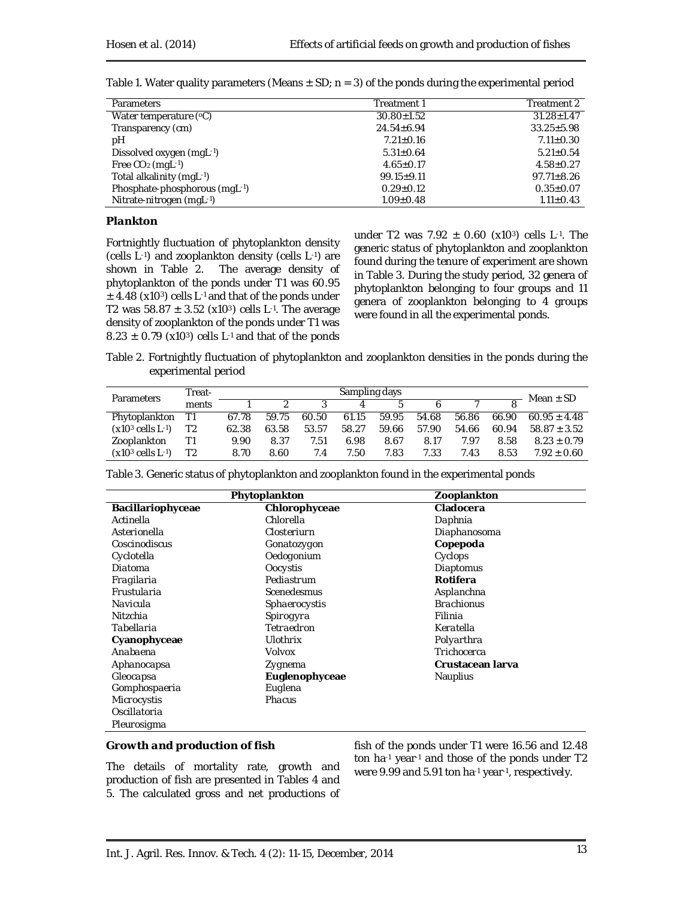| <b>Parameters</b>             | Treatment 1      | Treatment 2      |
|-------------------------------|------------------|------------------|
| Water temperature $(°C)$      | $30.80 \pm 1.52$ | $31.28 \pm 1.47$ |
| Transparency (cm)             | $24.54 \pm 6.94$ | $33.25 \pm 5.98$ |
| pН                            | $7.21 \pm 0.16$  | $7.11 \pm 0.30$  |
| Dissolved oxygen (mgL-1)      | $5.31 \pm 0.64$  | $5.21 \pm 0.54$  |
| Free $CO2$ (mgL-1)            | $4.65 \pm 0.17$  | $4.58 \pm 0.27$  |
| Total alkalinity (mgL-1)      | $99.15 \pm 9.11$ | $97.71 \pm 8.26$ |
| Phosphate-phosphorous (mgL-1) | $0.29 \pm 0.12$  | $0.35 \pm 0.07$  |
| Nitrate-nitrogen (mgL-1)      | $1.09 \pm 0.48$  | $1.11 \pm 0.43$  |

Table 1. Water quality parameters (Means  $\pm$  SD; n = 3) of the ponds during the experimental period

#### *Plankton*

Fortnightly fluctuation of phytoplankton density (cells L-1) and zooplankton density (cells L-1) are shown in Table 2. The average density of phytoplankton of the ponds under T1 was 60.95  $\pm$  4.48 (x10<sup>3</sup>) cells L<sup>-1</sup> and that of the ponds under T2 was  $58.87 \pm 3.52$  (x10<sup>3</sup>) cells L<sup>-1</sup>. The average density of zooplankton of the ponds under T1 was  $8.23 \pm 0.79$  (x10<sup>3</sup>) cells L<sup>-1</sup> and that of the ponds

under T2 was  $7.92 \pm 0.60$  (x10<sup>3</sup>) cells L<sup>-1</sup>. The generic status of phytoplankton and zooplankton found during the tenure of experiment are shown in Table 3. During the study period, 32 genera of phytoplankton belonging to four groups and 11 genera of zooplankton belonging to 4 groups were found in all the experimental ponds.

Table 2. Fortnightly fluctuation of phytoplankton and zooplankton densities in the ponds during the experimental period

| <b>Parameters</b>               | Treat-         | Sampling days |       |       |       |       |       |       |       |                  |
|---------------------------------|----------------|---------------|-------|-------|-------|-------|-------|-------|-------|------------------|
|                                 | ments          |               |       |       |       | Б.    |       |       |       | Mean $\pm$ SD    |
| Phytoplankton                   |                | 67.78         | 59.75 | 60.50 | 61.15 | 59.95 | 54.68 | 56.86 | 66.90 | $60.95 \pm 4.48$ |
| $(x10^3 \text{ cells } L^{-1})$ | T <sub>2</sub> | 62.38         | 63.58 | 53.57 | 58.27 | 59.66 | 57.90 | 54.66 | 60.94 | $58.87 \pm 3.52$ |
| Zooplankton                     | Τ1             | 9.90          | 8.37  | 7.51  | 6.98  | 8.67  | 8.17  | 7.97  | 8.58  | $8.23 \pm 0.79$  |
| $(x10^3 \text{ cells } L^{-1})$ | T2             | 8.70          | 8.60  | 7.4   | 7.50  | 7.83  | 7.33  | 7.43  | 8.53  | $7.92 \pm 0.60$  |

Table 3. Generic status of phytoplankton and zooplankton found in the experimental ponds

|                   | Phytoplankton      | Zooplankton       |
|-------------------|--------------------|-------------------|
| Bacillariophyceae | Chlorophyceae      | Cladocera         |
| Actinella         | Chlorella          | Daphnia           |
| Asterionella      | Closteriurn        | Diaphanosoma      |
| Coscinodiscus     | Gonatozygon        | Copepoda          |
| Cyclotella        | Oedogonium         | Cyclops           |
| Diatoma           | Oocystis           | Diaptomus         |
| Fragilaria        | Pediastrum         | Rotifera          |
| Frustularia       | <b>Scenedesmus</b> | Asplanchna        |
| Navicula          | Sphaerocystis      | <b>Brachionus</b> |
| Nitzchia          | Spirogyra          | Filinia           |
| Tabellaria        | Tetraedron         | Keratella         |
| Cyanophyceae      | <b>Ulothrix</b>    | Polyarthra        |
| Anabaena          | Volvox             | Trichocerca       |
| Aphanocapsa       | Zygnema            | Crustacean Iarva  |
| Gleocapsa         | Euglenophyceae     | <b>Nauplius</b>   |
| Gomphospaeria     | Euglena            |                   |
| Microcystis       | Phacus             |                   |
| Oscillatoria      |                    |                   |
| Pleurosigma       |                    |                   |

#### *Growth and production of fish*

The details of mortality rate, growth and production of fish are presented in Tables 4 and 5. The calculated gross and net productions of fish of the ponds under T1 were 16.56 and 12.48 ton ha-1 year-1 and those of the ponds under T2 were 9.99 and 5.91 ton ha-1 year-1 , respectively.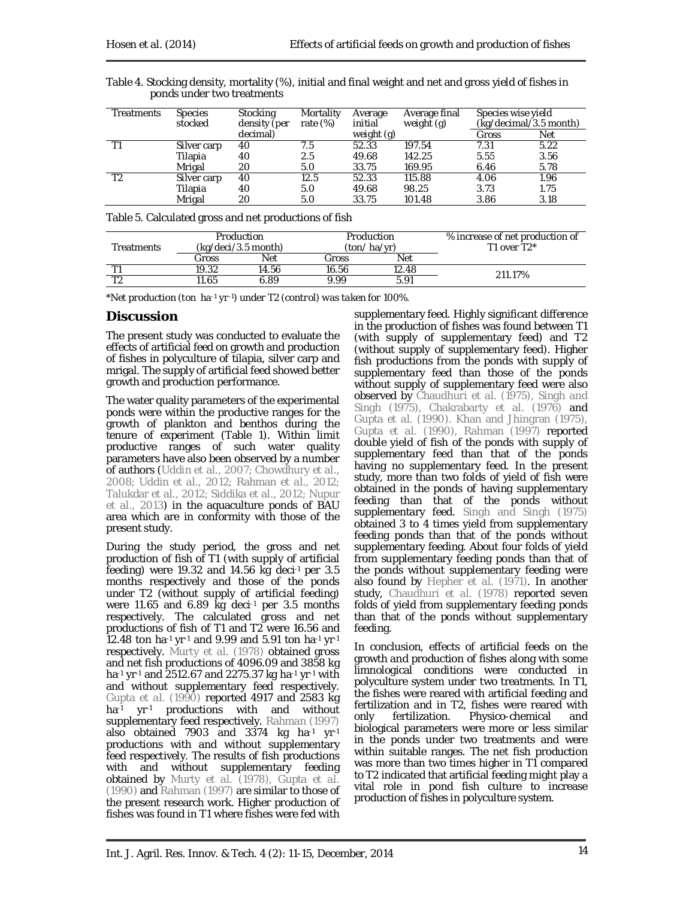|                            | Table 4. Stocking density, mortality (%), initial and final weight and net and gross yield of fishes in |
|----------------------------|---------------------------------------------------------------------------------------------------------|
| ponds under two treatments |                                                                                                         |

| Treatments | <b>Species</b><br>stocked | Stocking<br>density (per | Mortality<br>rate $(\%)$ | Average<br>initial | Average final<br>weight (g) | Species wise yield<br>(kg/decimal/3.5 month) |            |
|------------|---------------------------|--------------------------|--------------------------|--------------------|-----------------------------|----------------------------------------------|------------|
|            |                           | decimal)                 |                          | weight (g)         |                             | Gross                                        | <b>Net</b> |
|            | Silver carp               | 40                       | 7.5                      | 52.33              | 197.54                      | 7.31                                         | 5.22       |
|            | Tilapia                   | 40                       | 2.5                      | 49.68              | 142.25                      | 5.55                                         | 3.56       |
|            | Mrigal                    | 20                       | 5.0                      | 33.75              | 169.95                      | 6.46                                         | 5.78       |
| T2         | Silver carp               | 40                       | 12.5                     | 52.33              | 115.88                      | 4.06                                         | 1.96       |
|            | Tilapia                   | 40                       | 5.0                      | 49.68              | 98.25                       | 3.73                                         | 1.75       |
|            | Mrigal                    | 20                       | 5.0                      | 33.75              | 101.48                      | 3.86                                         | 3.18       |

Table 5. Calculated gross and net productions of fish

| <b>Treatments</b> | Production<br>(ka/deci/3.5 month) |            |       | Production<br>(ton/ha/vr) | % increase of net production of<br>T1 over $T2^*$ |
|-------------------|-----------------------------------|------------|-------|---------------------------|---------------------------------------------------|
|                   | Gross                             | <b>Net</b> | Gross | <b>Net</b>                |                                                   |
|                   | 19.32                             | 14.56      | 16.56 | 12.48                     | 211.17%                                           |
|                   | 1.65                              | 6.89       | 999   | 591                       |                                                   |

*\*Net production (ton ha-1 yr-1) under T2 (control) was taken for 100%.*

## **Discussion**

The present study was conducted to evaluate the effects of artificial feed on growth and production of fishes in polyculture of tilapia, silver carp and mrigal. The supply of artificial feed showed better growth and production performance.

The water quality parameters of the experimental ponds were within the productive ranges for the growth of plankton and benthos during the tenure of experiment (Table 1). Within limit productive ranges of such water quality parameters have also been observed by a number of authors (Uddin *et al.,* 2007; Chowdhury *et al*., 2008; Uddin *et al.,* 2012; Rahman *et al*., 2012; Talukdar *et al*., 2012; Siddika *et al*., 2012; Nupur *et al.,* 2013) in the aquaculture ponds of BAU area which are in conformity with those of the present study.

During the study period, the gross and net production of fish of T1 (with supply of artificial feeding) were 19.32 and 14.56 kg deci-1 per 3.5 months respectively and those of the ponds under T2 (without supply of artificial feeding) were 11.65 and 6.89 kg deci-1 per 3.5 months respectively. The calculated gross and net productions of fish of T1 and T2 were 16.56 and 12.48 ton ha-1 yr-1 and 9.99 and 5.91 ton ha-1 yr-1 respectively. Murty *et al.* (1978) obtained gross and net fish productions of 4096.09 and 3858 kg ha-1 yr-1 and 2512.67 and 2275.37 kg ha-1 yr-1 with and without supplementary feed respectively. Gupta *et al.* (1990) reported 4917 and 2583 kg ha<sup>-1</sup> yr<sup>-1</sup> productions with and without supplementary feed respectively. Rahman (1997) also obtained 7903 and 3374 kg ha $-1$  yr $-1$ productions with and without supplementary feed respectively. The results of fish productions with and without supplementary feeding obtained by Murty *et al.* (1978), Gupta *et al.* (1990) and Rahman (1997) are similar to those of the present research work. Higher production of fishes was found in T1 where fishes were fed with

supplementary feed. Highly significant difference in the production of fishes was found between T1 (with supply of supplementary feed) and T2 (without supply of supplementary feed). Higher fish productions from the ponds with supply of supplementary feed than those of the ponds without supply of supplementary feed were also observed by Chaudhuri *et al.* (1975), Singh and Singh (1975), Chakrabarty *et al.* (1976) and Gupta *et al.* (1990). Khan and Jhingran (1975), Gupta *et al.* (1990), Rahman (1997) reported double yield of fish of the ponds with supply of supplementary feed than that of the ponds having no supplementary feed. In the present study, more than two folds of yield of fish were obtained in the ponds of having supplementary feeding than that of the ponds without supplementary feed. Singh and Singh (1975) obtained 3 to 4 times yield from supplementary feeding ponds than that of the ponds without supplementary feeding. About four folds of yield from supplementary feeding ponds than that of the ponds without supplementary feeding were also found by Hepher *et al.* (1971). In another study, Chaudhuri *et al.* (1978) reported seven folds of yield from supplementary feeding ponds than that of the ponds without supplementary feeding.

In conclusion, effects of artificial feeds on the growth and production of fishes along with some limnological conditions were conducted in polyculture system under two treatments. In T1, the fishes were reared with artificial feeding and fertilization and in T2, fishes were reared with<br>only fertilization. Physico-chemical and only fertilization. Physico-chemical and biological parameters were more or less similar in the ponds under two treatments and were within suitable ranges. The net fish production was more than two times higher in T1 compared to T2 indicated that artificial feeding might play a vital role in pond fish culture to increase production of fishes in polyculture system.